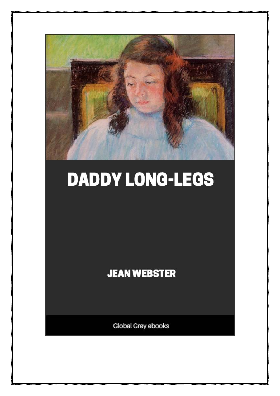

# DADDY LONG-LEGS

### **JEAN WEBSTER**

**Global Grey ebooks**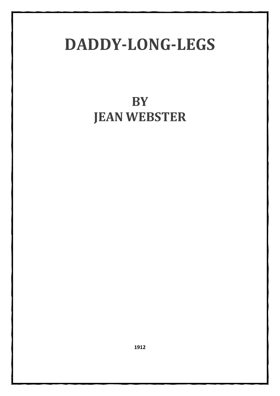## **DADDY-LONG-LEGS**

## **BY JEAN WEBSTER**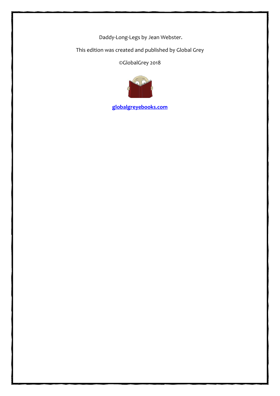Daddy-Long-Legs by Jean Webster.

This edition was created and published by Global Grey

©GlobalGrey 2018



**[globalgreyebooks.com](https://www.globalgreyebooks.com/)**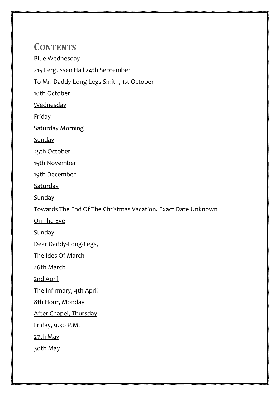#### **CONTENTS**

[Blue Wednesday](#page-7-0)

[215 Fergussen Hall 24th September](#page-14-0)

[To Mr. Daddy-Long-Legs Smith, 1st October](#page-16-0)

[10th October](#page-18-0)

**[Wednesday](#page-20-0)** 

[Friday](#page-21-0)

[Saturday Morning](#page-23-0)

**[Sunday](#page-24-0)** 

[25th October](#page-25-0)

[15th November](#page-26-0)

[19th December](#page-28-0)

**[Saturday](#page-30-0)** 

**[Sunday](#page-31-0)** 

Towards The End [Of The Christmas Vacation. Exact Date Unknown](#page-32-0)

[On The Eve](#page-36-0)

**[Sunday](#page-37-0)** 

[Dear Daddy-Long-Legs,](#page-39-0)

[The Ides Of March](#page-40-0)

[26th March](#page-41-0)

[2nd April](#page-42-0)

[The Infirmary, 4th April](#page-43-0)

[8th Hour, Monday](#page-44-0)

[After Chapel, Thursday](#page-45-0)

[Friday, 9.30 P.M.](#page-46-0)

[27th May](#page-48-0)

[30th May](#page-49-0)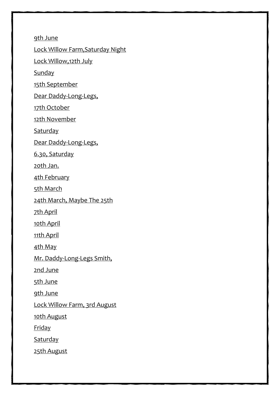[9th June](#page-53-0)

[Lock Willow Farm,Saturday Night](#page-54-0)

[Lock Willow,12th July](#page-56-0)

**[Sunday](#page-58-0)** 

[15th September](#page-61-0)

[Dear Daddy-Long-Legs,](#page-62-0)

[17th October](#page-64-0)

[12th November](#page-66-0)

**[Saturday](#page-67-0)** 

[Dear Daddy-Long-Legs,](#page-68-0)

[6.30, Saturday](#page-70-0)

[20th Jan.](#page-72-0)

[4th February](#page-74-0)

[5th March](#page-76-0)

[24th March, Maybe The 25th](#page-79-0)

[7th April](#page-81-0)

[10th April](#page-84-0)

[11th April](#page-85-0)

[4th May](#page-87-0)

[Mr. Daddy-Long-Legs Smith,](#page-91-0)

[2nd June](#page-93-0)

[5th June](#page-94-0)

[9th June](#page-96-0)

[Lock Willow Farm, 3rd August](#page-97-0)

[10th August](#page-99-0)

[Friday](#page-102-0)

**[Saturday](#page-103-0)** 

[25th August](#page-105-0)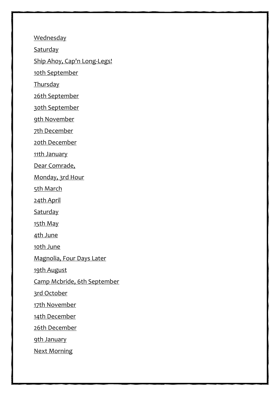**[Wednesday](#page-107-0)** 

**[Saturday](#page-108-0)** 

[Ship Ahoy, Cap'n Long-Legs!](#page-110-0)

[10th September](#page-111-0)

[Thursday](#page-112-0)

[26th September](#page-113-0)

[30th September](#page-115-0)

[9th November](#page-117-0)

[7th December](#page-119-0)

[20th December](#page-122-0)

[11th January](#page-123-0)

[Dear Comrade,](#page-126-0)

[Monday, 3rd Hour](#page-127-0)

[5th March](#page-128-0)

[24th April](#page-130-0)

**[Saturday](#page-131-0)** 

[15th May](#page-132-0)

[4th June](#page-134-0)

[10th June](#page-136-0)

[Magnolia, Four Days Later](#page-137-0)

[19th August](#page-139-0)

[Camp Mcbride, 6th September](#page-141-0)

[3rd October](#page-142-0)

[17th November](#page-144-0)

[14th December](#page-146-0)

[26th December](#page-148-0)

[9th January](#page-149-0)

[Next Morning](#page-151-0)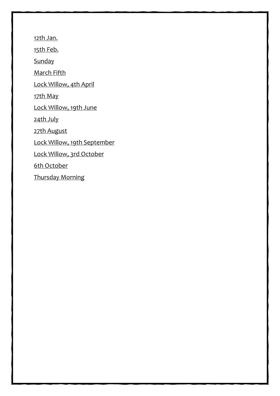[12th Jan.](#page-152-0)

[15th Feb.](#page-153-0)

[Sunday](#page-155-0)

[March Fifth](#page-156-0)

[Lock Willow, 4th April](#page-158-0)

[17th May](#page-160-0)

[Lock Willow, 19th June](#page-161-0)

[24th July](#page-162-0)

[27th August](#page-164-0)

[Lock Willow, 19th September](#page-166-0)

[Lock Willow, 3rd October](#page-167-0)

[6th October](#page-170-0)

[Thursday Morning](#page-171-0)